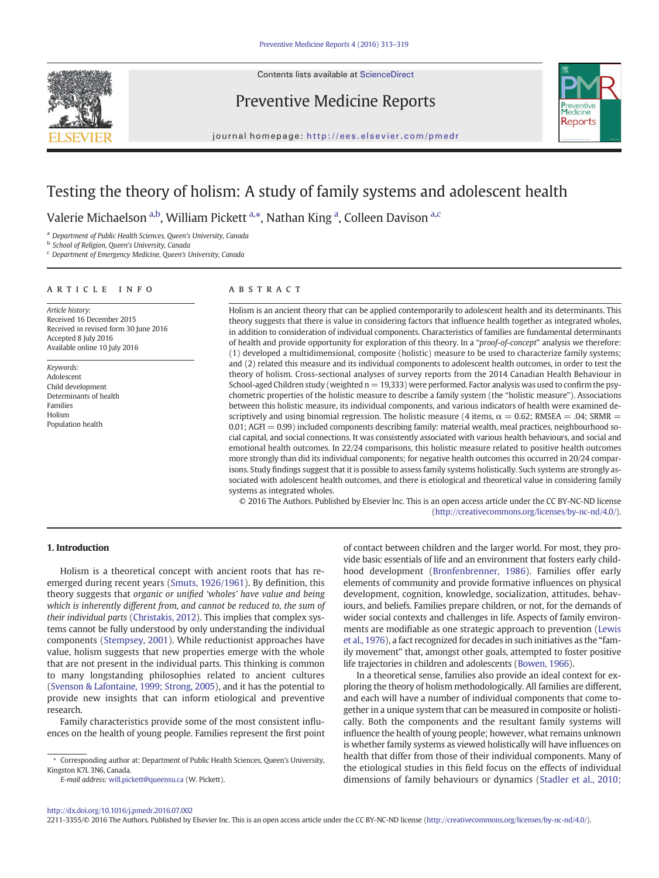

Contents lists available at [ScienceDirect](http://www.sciencedirect.com/science/journal/)

# Preventive Medicine Reports



journal homepage: <http://ees.elsevier.com/pmedr>

# Testing the theory of holism: A study of family systems and adolescent health

Valerie Michaelson <sup>a,b</sup>, William Pickett <sup>a,\*</sup>, Nathan King <sup>a</sup>, Colleen Davison <sup>a,c</sup>

<sup>a</sup> Department of Public Health Sciences, Queen's University, Canada

**b** School of Religion, Queen's University, Canada

<sup>c</sup> Department of Emergency Medicine, Queen's University, Canada

# article info abstract

Article history: Received 16 December 2015 Received in revised form 30 June 2016 Accepted 8 July 2016 Available online 10 July 2016

Keywords: Adolescent Child development Determinants of health Families Holism Population health

Holism is an ancient theory that can be applied contemporarily to adolescent health and its determinants. This theory suggests that there is value in considering factors that influence health together as integrated wholes, in addition to consideration of individual components. Characteristics of families are fundamental determinants of health and provide opportunity for exploration of this theory. In a "proof-of-concept" analysis we therefore: (1) developed a multidimensional, composite (holistic) measure to be used to characterize family systems; and (2) related this measure and its individual components to adolescent health outcomes, in order to test the theory of holism. Cross-sectional analyses of survey reports from the 2014 Canadian Health Behaviour in School-aged Children study (weighted  $n = 19,333$ ) were performed. Factor analysis was used to confirm the psychometric properties of the holistic measure to describe a family system (the "holistic measure"). Associations between this holistic measure, its individual components, and various indicators of health were examined descriptively and using binomial regression. The holistic measure (4 items,  $\alpha = 0.62$ ; RMSEA = .04; SRMR = 0.01; AGFI = 0.99) included components describing family: material wealth, meal practices, neighbourhood social capital, and social connections. It was consistently associated with various health behaviours, and social and emotional health outcomes. In 22/24 comparisons, this holistic measure related to positive health outcomes more strongly than did its individual components; for negative health outcomes this occurred in 20/24 comparisons. Study findings suggest that it is possible to assess family systems holistically. Such systems are strongly associated with adolescent health outcomes, and there is etiological and theoretical value in considering family systems as integrated wholes.

© 2016 The Authors. Published by Elsevier Inc. This is an open access article under the CC BY-NC-ND license ([http://creativecommons.org/licenses/by-nc-nd/4.0/\)](http://creativecommons.org/licenses/by-nc-nd/4.0/).

# 1. Introduction

Holism is a theoretical concept with ancient roots that has reemerged during recent years [\(Smuts, 1926/1961\)](#page-5-0). By definition, this theory suggests that organic or unified 'wholes' have value and being which is inherently different from, and cannot be reduced to, the sum of their individual parts [\(Christakis, 2012](#page-5-0)). This implies that complex systems cannot be fully understood by only understanding the individual components ([Stempsey, 2001](#page-6-0)). While reductionist approaches have value, holism suggests that new properties emerge with the whole that are not present in the individual parts. This thinking is common to many longstanding philosophies related to ancient cultures [\(Svenson & Lafontaine, 1999; Strong, 2005](#page-6-0)), and it has the potential to provide new insights that can inform etiological and preventive research.

Family characteristics provide some of the most consistent influences on the health of young people. Families represent the first point

E-mail address: [will.pickett@queensu.ca](mailto:will.pickett@queensu.ca) (W. Pickett).

of contact between children and the larger world. For most, they provide basic essentials of life and an environment that fosters early childhood development [\(Bronfenbrenner, 1986](#page-5-0)). Families offer early elements of community and provide formative influences on physical development, cognition, knowledge, socialization, attitudes, behaviours, and beliefs. Families prepare children, or not, for the demands of wider social contexts and challenges in life. Aspects of family environments are modifiable as one strategic approach to prevention ([Lewis](#page-5-0) [et al., 1976\)](#page-5-0), a fact recognized for decades in such initiatives as the "family movement" that, amongst other goals, attempted to foster positive life trajectories in children and adolescents [\(Bowen, 1966](#page-5-0)).

In a theoretical sense, families also provide an ideal context for exploring the theory of holism methodologically. All families are different, and each will have a number of individual components that come together in a unique system that can be measured in composite or holistically. Both the components and the resultant family systems will influence the health of young people; however, what remains unknown is whether family systems as viewed holistically will have influences on health that differ from those of their individual components. Many of the etiological studies in this field focus on the effects of individual dimensions of family behaviours or dynamics [\(Stadler et al., 2010;](#page-6-0)

2211-3355/© 2016 The Authors. Published by Elsevier Inc. This is an open access article under the CC BY-NC-ND license ([http://creativecommons.org/licenses/by-nc-nd/4.0/\)](http://creativecommons.org/licenses/by-nc-nd/4.0/).

<sup>⁎</sup> Corresponding author at: Department of Public Health Sciences, Queen's University, Kingston K7L 3N6, Canada.

<http://dx.doi.org/10.1016/j.pmedr.2016.07.002>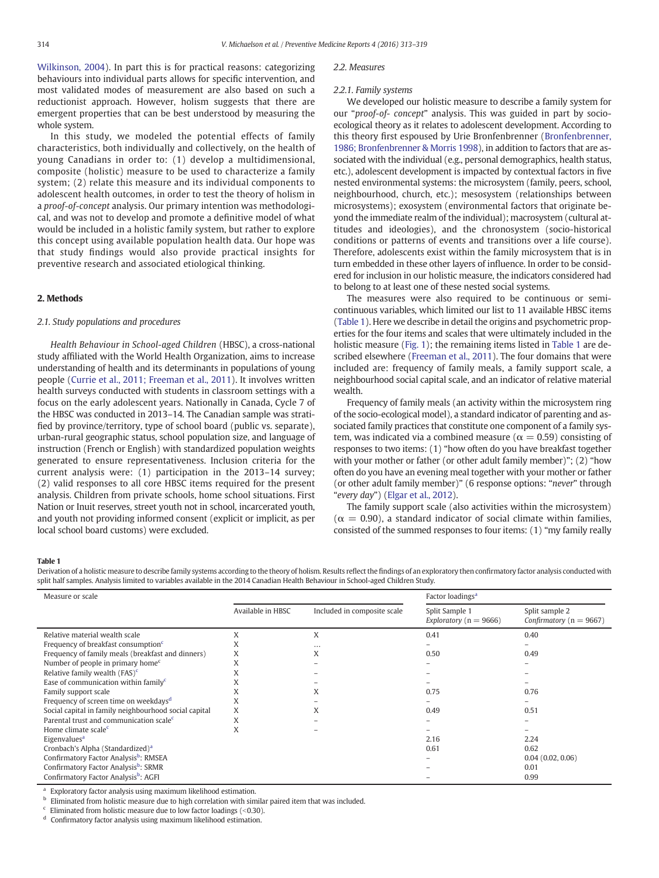<span id="page-1-0"></span>[Wilkinson, 2004\)](#page-6-0). In part this is for practical reasons: categorizing behaviours into individual parts allows for specific intervention, and most validated modes of measurement are also based on such a reductionist approach. However, holism suggests that there are emergent properties that can be best understood by measuring the whole system.

In this study, we modeled the potential effects of family characteristics, both individually and collectively, on the health of young Canadians in order to: (1) develop a multidimensional, composite (holistic) measure to be used to characterize a family system; (2) relate this measure and its individual components to adolescent health outcomes, in order to test the theory of holism in a proof-of-concept analysis. Our primary intention was methodological, and was not to develop and promote a definitive model of what would be included in a holistic family system, but rather to explore this concept using available population health data. Our hope was that study findings would also provide practical insights for preventive research and associated etiological thinking.

# 2. Methods

#### 2.1. Study populations and procedures

Health Behaviour in School-aged Children (HBSC), a cross-national study affiliated with the World Health Organization, aims to increase understanding of health and its determinants in populations of young people [\(Currie et al., 2011; Freeman et al., 2011](#page-5-0)). It involves written health surveys conducted with students in classroom settings with a focus on the early adolescent years. Nationally in Canada, Cycle 7 of the HBSC was conducted in 2013–14. The Canadian sample was stratified by province/territory, type of school board (public vs. separate), urban-rural geographic status, school population size, and language of instruction (French or English) with standardized population weights generated to ensure representativeness. Inclusion criteria for the current analysis were: (1) participation in the 2013–14 survey; (2) valid responses to all core HBSC items required for the present analysis. Children from private schools, home school situations. First Nation or Inuit reserves, street youth not in school, incarcerated youth, and youth not providing informed consent (explicit or implicit, as per local school board customs) were excluded.

#### 2.2. Measures

#### 2.2.1. Family systems

We developed our holistic measure to describe a family system for our "proof-of- concept" analysis. This was guided in part by socioecological theory as it relates to adolescent development. According to this theory first espoused by Urie Bronfenbrenner [\(Bronfenbrenner,](#page-5-0) [1986; Bronfenbrenner & Morris 1998](#page-5-0)), in addition to factors that are associated with the individual (e.g., personal demographics, health status, etc.), adolescent development is impacted by contextual factors in five nested environmental systems: the microsystem (family, peers, school, neighbourhood, church, etc.); mesosystem (relationships between microsystems); exosystem (environmental factors that originate beyond the immediate realm of the individual); macrosystem (cultural attitudes and ideologies), and the chronosystem (socio-historical conditions or patterns of events and transitions over a life course). Therefore, adolescents exist within the family microsystem that is in turn embedded in these other layers of influence. In order to be considered for inclusion in our holistic measure, the indicators considered had to belong to at least one of these nested social systems.

The measures were also required to be continuous or semicontinuous variables, which limited our list to 11 available HBSC items (Table 1). Here we describe in detail the origins and psychometric properties for the four items and scales that were ultimately included in the holistic measure [\(Fig. 1](#page-2-0)); the remaining items listed in Table 1 are described elsewhere [\(Freeman et al., 2011](#page-5-0)). The four domains that were included are: frequency of family meals, a family support scale, a neighbourhood social capital scale, and an indicator of relative material wealth.

Frequency of family meals (an activity within the microsystem ring of the socio-ecological model), a standard indicator of parenting and associated family practices that constitute one component of a family system, was indicated via a combined measure ( $\alpha = 0.59$ ) consisting of responses to two items: (1) "how often do you have breakfast together with your mother or father (or other adult family member)"; (2) "how often do you have an evening meal together with your mother or father (or other adult family member)" (6 response options: "never" through "every day") [\(Elgar et al., 2012\)](#page-5-0).

The family support scale (also activities within the microsystem)  $(\alpha = 0.90)$ , a standard indicator of social climate within families, consisted of the summed responses to four items: (1) "my family really

## Table 1

Derivation of a holistic measure to describe family systems according to the theory of holism. Results reflect the findings of an exploratory then confirmatory factor analysis conducted with split half samples. Analysis limited to variables available in the 2014 Canadian Health Behaviour in School-aged Children Study.

| Measure or scale                                      |                   |                             | Factor loadings <sup>a</sup>                 |                                               |
|-------------------------------------------------------|-------------------|-----------------------------|----------------------------------------------|-----------------------------------------------|
|                                                       | Available in HBSC | Included in composite scale | Split Sample 1<br>Exploratory ( $n = 9666$ ) | Split sample 2<br>Confirmatory ( $n = 9667$ ) |
| Relative material wealth scale                        | X                 | X                           | 0.41                                         | 0.40                                          |
| Frequency of breakfast consumption $\epsilon$         | X                 |                             |                                              |                                               |
| Frequency of family meals (breakfast and dinners)     | X                 | X                           | 0.50                                         | 0.49                                          |
| Number of people in primary home <sup>c</sup>         | X                 |                             |                                              |                                               |
| Relative family wealth $(FAS)^c$                      | v                 |                             |                                              |                                               |
| Ease of communication within family $\epsilon$        |                   |                             |                                              |                                               |
| Family support scale                                  | v                 | X                           | 0.75                                         | 0.76                                          |
| Frequency of screen time on weekdays <sup>d</sup>     | X                 |                             |                                              |                                               |
| Social capital in family neighbourhood social capital | X                 | X                           | 0.49                                         | 0.51                                          |
| Parental trust and communication scale <sup>c</sup>   | X                 |                             |                                              |                                               |
| Home climate scale <sup>c</sup>                       | X                 |                             |                                              |                                               |
| Eigenvalues <sup>a</sup>                              |                   |                             | 2.16                                         | 2.24                                          |
| Cronbach's Alpha (Standardized) <sup>a</sup>          |                   |                             | 0.61                                         | 0.62                                          |
| Confirmatory Factor Analysis <sup>b</sup> : RMSEA     |                   |                             |                                              | 0.04(0.02, 0.06)                              |
| Confirmatory Factor Analysis <sup>b</sup> : SRMR      |                   |                             |                                              | 0.01                                          |
| Confirmatory Factor Analysis <sup>b</sup> : AGFI      |                   |                             |                                              | 0.99                                          |

Exploratory factor analysis using maximum likelihood estimation.

**b** Eliminated from holistic measure due to high correlation with similar paired item that was included.

 $\epsilon$  Eliminated from holistic measure due to low factor loadings (<0.30).

<sup>d</sup> Confirmatory factor analysis using maximum likelihood estimation.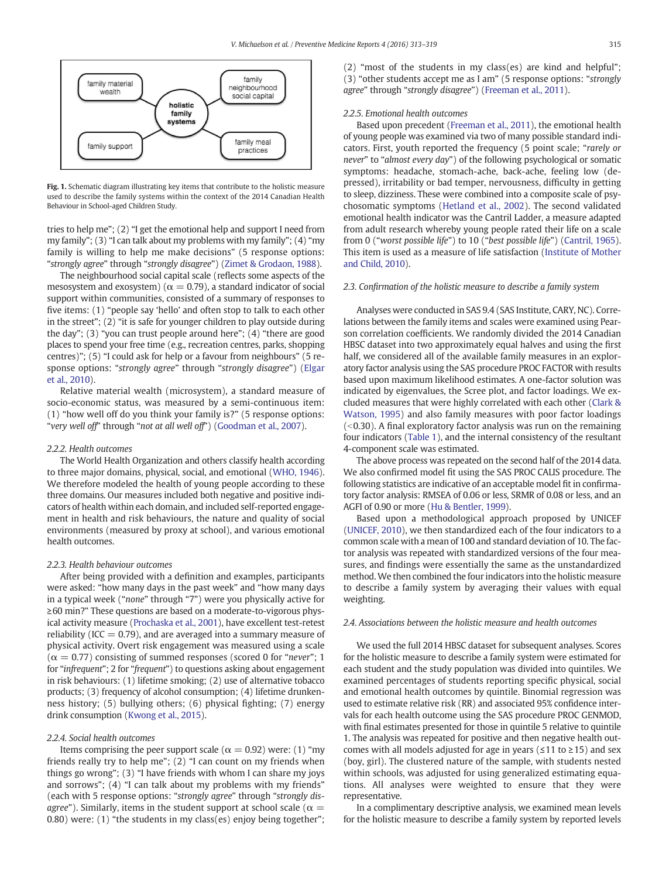<span id="page-2-0"></span>

Fig. 1. Schematic diagram illustrating key items that contribute to the holistic measure used to describe the family systems within the context of the 2014 Canadian Health Behaviour in School-aged Children Study.

tries to help me"; (2) "I get the emotional help and support I need from my family"; (3) "I can talk about my problems with my family"; (4) "my family is willing to help me make decisions" (5 response options: "strongly agree" through "strongly disagree") [\(Zimet & Grodaon, 1988\)](#page-6-0).

The neighbourhood social capital scale (reflects some aspects of the mesosystem and exosystem) ( $\alpha = 0.79$ ), a standard indicator of social support within communities, consisted of a summary of responses to five items: (1) "people say 'hello' and often stop to talk to each other in the street"; (2) "it is safe for younger children to play outside during the day"; (3) "you can trust people around here"; (4) "there are good places to spend your free time (e.g., recreation centres, parks, shopping centres)"; (5) "I could ask for help or a favour from neighbours" (5 response options: "strongly agree" through "strongly disagree") ([Elgar](#page-5-0) [et al., 2010](#page-5-0)).

Relative material wealth (microsystem), a standard measure of socio-economic status, was measured by a semi-continuous item: (1) "how well off do you think your family is?" (5 response options: "very well off" through "not at all well off") ([Goodman et al., 2007](#page-5-0)).

#### 2.2.2. Health outcomes

The World Health Organization and others classify health according to three major domains, physical, social, and emotional ([WHO, 1946](#page-6-0)). We therefore modeled the health of young people according to these three domains. Our measures included both negative and positive indicators of health within each domain, and included self-reported engagement in health and risk behaviours, the nature and quality of social environments (measured by proxy at school), and various emotional health outcomes.

#### 2.2.3. Health behaviour outcomes

After being provided with a definition and examples, participants were asked: "how many days in the past week" and "how many days in a typical week ("none" through "7") were you physically active for ≥60 min?" These questions are based on a moderate-to-vigorous physical activity measure ([Prochaska et al., 2001\)](#page-5-0), have excellent test-retest reliability (ICC  $= 0.79$ ), and are averaged into a summary measure of physical activity. Overt risk engagement was measured using a scale  $(\alpha = 0.77)$  consisting of summed responses (scored 0 for "never"; 1 for "infrequent"; 2 for "frequent") to questions asking about engagement in risk behaviours: (1) lifetime smoking; (2) use of alternative tobacco products; (3) frequency of alcohol consumption; (4) lifetime drunkenness history; (5) bullying others; (6) physical fighting; (7) energy drink consumption ([Kwong et al., 2015\)](#page-5-0).

#### 2.2.4. Social health outcomes

Items comprising the peer support scale ( $\alpha = 0.92$ ) were: (1) "my friends really try to help me"; (2) "I can count on my friends when things go wrong"; (3) "I have friends with whom I can share my joys and sorrows"; (4) "I can talk about my problems with my friends" (each with 5 response options: "strongly agree" through "strongly disagree"). Similarly, items in the student support at school scale ( $\alpha =$ 0.80) were: (1) "the students in my class(es) enjoy being together"; (2) "most of the students in my class(es) are kind and helpful"; (3) "other students accept me as I am" (5 response options: "strongly agree" through "strongly disagree") [\(Freeman et al., 2011](#page-5-0)).

#### 2.2.5. Emotional health outcomes

Based upon precedent [\(Freeman et al., 2011\)](#page-5-0), the emotional health of young people was examined via two of many possible standard indicators. First, youth reported the frequency (5 point scale; "rarely or never" to "almost every day") of the following psychological or somatic symptoms: headache, stomach-ache, back-ache, feeling low (depressed), irritability or bad temper, nervousness, difficulty in getting to sleep, dizziness. These were combined into a composite scale of psychosomatic symptoms [\(Hetland et al., 2002](#page-5-0)). The second validated emotional health indicator was the Cantril Ladder, a measure adapted from adult research whereby young people rated their life on a scale from 0 ("worst possible life") to 10 ("best possible life") [\(Cantril, 1965](#page-5-0)). This item is used as a measure of life satisfaction ([Institute of Mother](#page-5-0) [and Child, 2010](#page-5-0)).

## 2.3. Confirmation of the holistic measure to describe a family system

Analyses were conducted in SAS 9.4 (SAS Institute, CARY, NC). Correlations between the family items and scales were examined using Pearson correlation coefficients. We randomly divided the 2014 Canadian HBSC dataset into two approximately equal halves and using the first half, we considered all of the available family measures in an exploratory factor analysis using the SAS procedure PROC FACTOR with results based upon maximum likelihood estimates. A one-factor solution was indicated by eigenvalues, the Scree plot, and factor loadings. We excluded measures that were highly correlated with each other [\(Clark &](#page-5-0) [Watson, 1995](#page-5-0)) and also family measures with poor factor loadings  $(-0.30)$ . A final exploratory factor analysis was run on the remaining four indicators ([Table 1\)](#page-1-0), and the internal consistency of the resultant 4-component scale was estimated.

The above process was repeated on the second half of the 2014 data. We also confirmed model fit using the SAS PROC CALIS procedure. The following statistics are indicative of an acceptable model fit in confirmatory factor analysis: RMSEA of 0.06 or less, SRMR of 0.08 or less, and an AGFI of 0.90 or more ([Hu & Bentler, 1999\)](#page-5-0).

Based upon a methodological approach proposed by UNICEF [\(UNICEF, 2010\)](#page-6-0), we then standardized each of the four indicators to a common scale with a mean of 100 and standard deviation of 10. The factor analysis was repeated with standardized versions of the four measures, and findings were essentially the same as the unstandardized method.We then combined the four indicators into the holistic measure to describe a family system by averaging their values with equal weighting.

## 2.4. Associations between the holistic measure and health outcomes

We used the full 2014 HBSC dataset for subsequent analyses. Scores for the holistic measure to describe a family system were estimated for each student and the study population was divided into quintiles. We examined percentages of students reporting specific physical, social and emotional health outcomes by quintile. Binomial regression was used to estimate relative risk (RR) and associated 95% confidence intervals for each health outcome using the SAS procedure PROC GENMOD, with final estimates presented for those in quintile 5 relative to quintile 1. The analysis was repeated for positive and then negative health outcomes with all models adjusted for age in years ( $\leq$ 11 to  $\geq$ 15) and sex (boy, girl). The clustered nature of the sample, with students nested within schools, was adjusted for using generalized estimating equations. All analyses were weighted to ensure that they were representative.

In a complimentary descriptive analysis, we examined mean levels for the holistic measure to describe a family system by reported levels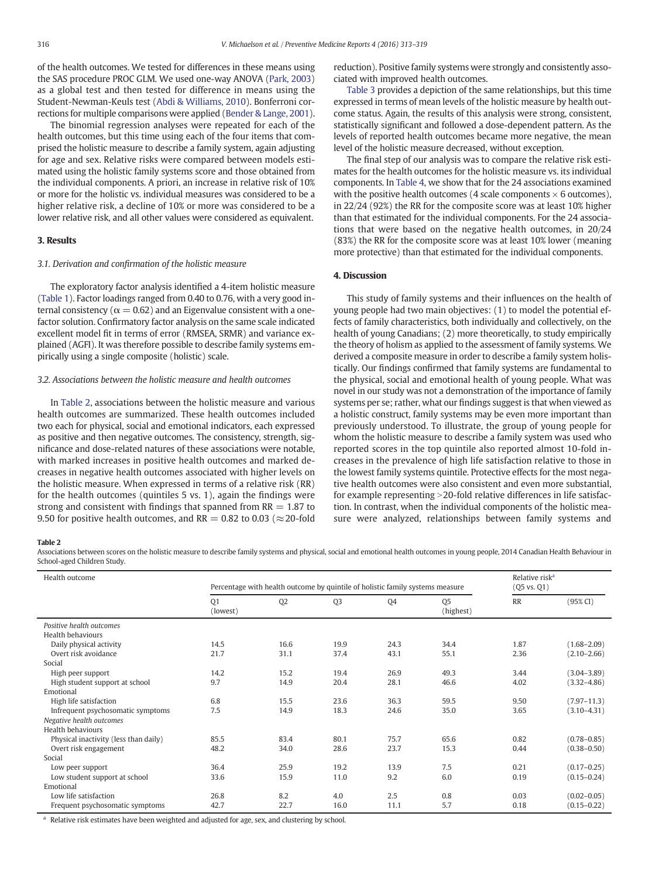of the health outcomes. We tested for differences in these means using the SAS procedure PROC GLM. We used one-way ANOVA [\(Park, 2003](#page-5-0)) as a global test and then tested for difference in means using the Student-Newman-Keuls test ([Abdi & Williams, 2010](#page-5-0)). Bonferroni corrections for multiple comparisons were applied [\(Bender & Lange, 2001\)](#page-5-0).

The binomial regression analyses were repeated for each of the health outcomes, but this time using each of the four items that comprised the holistic measure to describe a family system, again adjusting for age and sex. Relative risks were compared between models estimated using the holistic family systems score and those obtained from the individual components. A priori, an increase in relative risk of 10% or more for the holistic vs. individual measures was considered to be a higher relative risk, a decline of 10% or more was considered to be a lower relative risk, and all other values were considered as equivalent.

### 3. Results

#### 3.1. Derivation and confirmation of the holistic measure

The exploratory factor analysis identified a 4-item holistic measure [\(Table 1](#page-1-0)). Factor loadings ranged from 0.40 to 0.76, with a very good internal consistency ( $\alpha = 0.62$ ) and an Eigenvalue consistent with a onefactor solution. Confirmatory factor analysis on the same scale indicated excellent model fit in terms of error (RMSEA, SRMR) and variance explained (AGFI). It was therefore possible to describe family systems empirically using a single composite (holistic) scale.

#### 3.2. Associations between the holistic measure and health outcomes

In Table 2, associations between the holistic measure and various health outcomes are summarized. These health outcomes included two each for physical, social and emotional indicators, each expressed as positive and then negative outcomes. The consistency, strength, significance and dose-related natures of these associations were notable, with marked increases in positive health outcomes and marked decreases in negative health outcomes associated with higher levels on the holistic measure. When expressed in terms of a relative risk (RR) for the health outcomes (quintiles 5 vs. 1), again the findings were strong and consistent with findings that spanned from  $RR = 1.87$  to 9.50 for positive health outcomes, and RR = 0.82 to 0.03 ( $\approx$  20-fold reduction). Positive family systems were strongly and consistently associated with improved health outcomes.

[Table 3](#page-4-0) provides a depiction of the same relationships, but this time expressed in terms of mean levels of the holistic measure by health outcome status. Again, the results of this analysis were strong, consistent, statistically significant and followed a dose-dependent pattern. As the levels of reported health outcomes became more negative, the mean level of the holistic measure decreased, without exception.

The final step of our analysis was to compare the relative risk estimates for the health outcomes for the holistic measure vs. its individual components. In [Table 4](#page-4-0), we show that for the 24 associations examined with the positive health outcomes (4 scale components  $\times$  6 outcomes), in 22/24 (92%) the RR for the composite score was at least 10% higher than that estimated for the individual components. For the 24 associations that were based on the negative health outcomes, in 20/24 (83%) the RR for the composite score was at least 10% lower (meaning more protective) than that estimated for the individual components.

#### 4. Discussion

This study of family systems and their influences on the health of young people had two main objectives: (1) to model the potential effects of family characteristics, both individually and collectively, on the health of young Canadians; (2) more theoretically, to study empirically the theory of holism as applied to the assessment of family systems. We derived a composite measure in order to describe a family system holistically. Our findings confirmed that family systems are fundamental to the physical, social and emotional health of young people. What was novel in our study was not a demonstration of the importance of family systems per se; rather, what our findings suggest is that when viewed as a holistic construct, family systems may be even more important than previously understood. To illustrate, the group of young people for whom the holistic measure to describe a family system was used who reported scores in the top quintile also reported almost 10-fold increases in the prevalence of high life satisfaction relative to those in the lowest family systems quintile. Protective effects for the most negative health outcomes were also consistent and even more substantial, for example representing  $>$  20-fold relative differences in life satisfaction. In contrast, when the individual components of the holistic measure were analyzed, relationships between family systems and

#### Table 2

Associations between scores on the holistic measure to describe family systems and physical, social and emotional health outcomes in young people, 2014 Canadian Health Behaviour in School-aged Children Study.

| Health outcome                        |                                                                               |      |                |                        |                             | Relative risk <sup>a</sup> |                 |
|---------------------------------------|-------------------------------------------------------------------------------|------|----------------|------------------------|-----------------------------|----------------------------|-----------------|
|                                       | Percentage with health outcome by quintile of holistic family systems measure |      |                | $(Q5 \text{ vs. } Q1)$ |                             |                            |                 |
|                                       | Q <sub>1</sub><br>(lowest)                                                    | Q2   | Q <sub>3</sub> | Q4                     | O <sub>5</sub><br>(highest) | <b>RR</b>                  | (95% CI)        |
| Positive health outcomes              |                                                                               |      |                |                        |                             |                            |                 |
| Health behaviours                     |                                                                               |      |                |                        |                             |                            |                 |
| Daily physical activity               | 14.5                                                                          | 16.6 | 19.9           | 24.3                   | 34.4                        | 1.87                       | $(1.68 - 2.09)$ |
| Overt risk avoidance                  | 21.7                                                                          | 31.1 | 37.4           | 43.1                   | 55.1                        | 2.36                       | $(2.10 - 2.66)$ |
| Social                                |                                                                               |      |                |                        |                             |                            |                 |
| High peer support                     | 14.2                                                                          | 15.2 | 19.4           | 26.9                   | 49.3                        | 3.44                       | $(3.04 - 3.89)$ |
| High student support at school        | 9.7                                                                           | 14.9 | 20.4           | 28.1                   | 46.6                        | 4.02                       | $(3.32 - 4.86)$ |
| Emotional                             |                                                                               |      |                |                        |                             |                            |                 |
| High life satisfaction                | 6.8                                                                           | 15.5 | 23.6           | 36.3                   | 59.5                        | 9.50                       | $(7.97 - 11.3)$ |
| Infrequent psychosomatic symptoms     | 7.5                                                                           | 14.9 | 18.3           | 24.6                   | 35.0                        | 3.65                       | $(3.10 - 4.31)$ |
| Negative health outcomes              |                                                                               |      |                |                        |                             |                            |                 |
| Health behaviours                     |                                                                               |      |                |                        |                             |                            |                 |
| Physical inactivity (less than daily) | 85.5                                                                          | 83.4 | 80.1           | 75.7                   | 65.6                        | 0.82                       | $(0.78 - 0.85)$ |
| Overt risk engagement                 | 48.2                                                                          | 34.0 | 28.6           | 23.7                   | 15.3                        | 0.44                       | $(0.38 - 0.50)$ |
| Social                                |                                                                               |      |                |                        |                             |                            |                 |
| Low peer support                      | 36.4                                                                          | 25.9 | 19.2           | 13.9                   | 7.5                         | 0.21                       | $(0.17 - 0.25)$ |
| Low student support at school         | 33.6                                                                          | 15.9 | 11.0           | 9.2                    | 6.0                         | 0.19                       | $(0.15 - 0.24)$ |
| Emotional                             |                                                                               |      |                |                        |                             |                            |                 |
| Low life satisfaction                 | 26.8                                                                          | 8.2  | 4.0            | 2.5                    | 0.8                         | 0.03                       | $(0.02 - 0.05)$ |
| Frequent psychosomatic symptoms       | 42.7                                                                          | 22.7 | 16.0           | 11.1                   | 5.7                         | 0.18                       | $(0.15 - 0.22)$ |

<sup>a</sup> Relative risk estimates have been weighted and adjusted for age, sex, and clustering by school.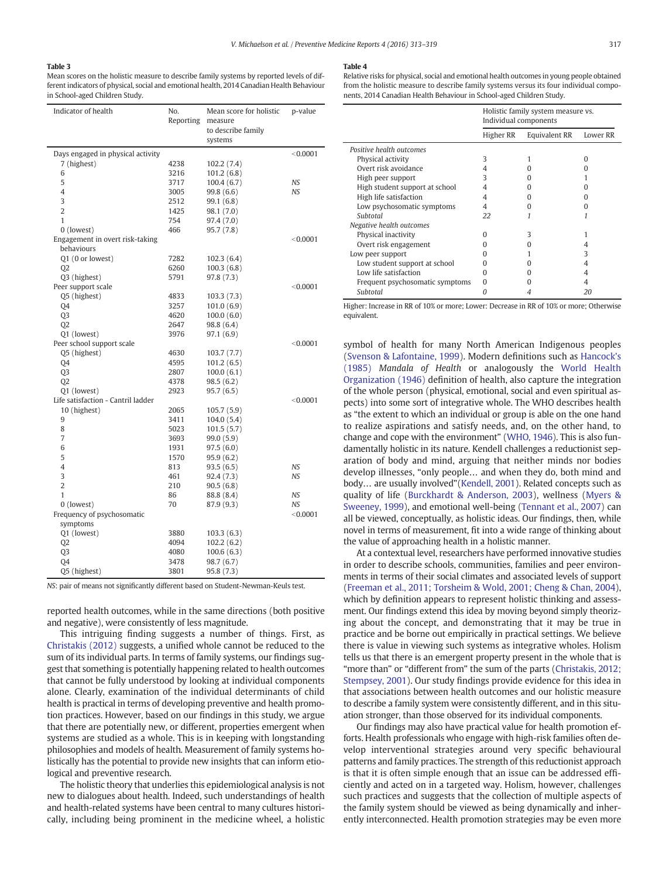#### <span id="page-4-0"></span>Table 3

Mean scores on the holistic measure to describe family systems by reported levels of different indicators of physical, social and emotional health, 2014 Canadian Health Behaviour in School-aged Children Study.

| Indicator of health                | No.<br>Reporting | Mean score for holistic<br>measure<br>to describe family | p-value   |
|------------------------------------|------------------|----------------------------------------------------------|-----------|
|                                    |                  | systems                                                  |           |
| Days engaged in physical activity  |                  |                                                          | < 0.0001  |
| 7 (highest)                        | 4238             | 102.2 (7.4)                                              |           |
| 6                                  | 3216             | 101.2(6.8)                                               |           |
| 5                                  | 3717             | 100.4(6.7)                                               | <b>NS</b> |
| 4                                  | 3005             | 99.8 (6.6)                                               | <b>NS</b> |
| 3                                  | 2512             | 99.1 (6.8)                                               |           |
| $\overline{2}$                     | 1425             | 98.1 (7.0)                                               |           |
| $\mathbf{1}$                       | 754              | 97.4 (7.0)                                               |           |
| 0 (lowest)                         | 466              | 95.7 (7.8)                                               |           |
| Engagement in overt risk-taking    |                  |                                                          | < 0.0001  |
| behaviours                         |                  |                                                          |           |
| Q1 (0 or lowest)                   | 7282             | 102.3(6.4)                                               |           |
| Q <sub>2</sub>                     | 6260             | 100.3(6.8)                                               |           |
| Q3 (highest)                       | 5791             | 97.8 (7.3)                                               |           |
| Peer support scale                 |                  |                                                          | < 0.0001  |
| Q5 (highest)                       | 4833             | 103.3(7.3)                                               |           |
| Q4                                 | 3257             | 101.0(6.9)                                               |           |
| Q <sub>3</sub>                     | 4620             | 100.0(6.0)                                               |           |
| Q <sub>2</sub>                     | 2647             | 98.8 (6.4)                                               |           |
| Q1 (lowest)                        | 3976             | 97.1 (6.9)                                               |           |
| Peer school support scale          |                  |                                                          | < 0.0001  |
| Q5 (highest)                       | 4630             | 103.7(7.7)                                               |           |
| Q4                                 | 4595             | 101.2(6.5)                                               |           |
| Q <sub>3</sub>                     | 2807             | 100.0(6.1)                                               |           |
| Q <sub>2</sub>                     | 4378             | 98.5(6.2)                                                |           |
| Q1 (lowest)                        | 2923             | 95.7 (6.5)                                               |           |
| Life satisfaction - Cantril ladder |                  |                                                          | < 0.0001  |
| 10 (highest)                       | 2065             | 105.7(5.9)                                               |           |
| 9                                  | 3411             | 104.0 (5.4)                                              |           |
| 8                                  | 5023             | 101.5(5.7)                                               |           |
| 7                                  | 3693             | 99.0 (5.9)                                               |           |
| 6                                  | 1931             | 97.5(6.0)                                                |           |
| 5                                  | 1570             | 95.9 (6.2)                                               |           |
| 4                                  | 813              | 93.5(6.5)                                                | <b>NS</b> |
| 3                                  | 461              | 92.4 (7.3)                                               | <b>NS</b> |
| $\overline{2}$                     | 210              | 90.5(6.8)                                                |           |
| 1                                  | 86               | 88.8 (8.4)                                               | <b>NS</b> |
| 0 (lowest)                         | 70               | 87.9 (9.3)                                               | <b>NS</b> |
| Frequency of psychosomatic         |                  |                                                          | < 0.0001  |
| symptoms                           |                  |                                                          |           |
| Q1 (lowest)                        | 3880             | 103.3(6.3)                                               |           |
| Q <sub>2</sub>                     | 4094             | 102.2(6.2)                                               |           |
| Q <sub>3</sub>                     | 4080             | 100.6(6.3)                                               |           |
| 04                                 | 3478             | 98.7 (6.7)                                               |           |
| Q5 (highest)                       | 3801             | 95.8 (7.3)                                               |           |

NS: pair of means not significantly different based on Student-Newman-Keuls test.

reported health outcomes, while in the same directions (both positive and negative), were consistently of less magnitude.

This intriguing finding suggests a number of things. First, as [Christakis \(2012\)](#page-5-0) suggests, a unified whole cannot be reduced to the sum of its individual parts. In terms of family systems, our findings suggest that something is potentially happening related to health outcomes that cannot be fully understood by looking at individual components alone. Clearly, examination of the individual determinants of child health is practical in terms of developing preventive and health promotion practices. However, based on our findings in this study, we argue that there are potentially new, or different, properties emergent when systems are studied as a whole. This is in keeping with longstanding philosophies and models of health. Measurement of family systems holistically has the potential to provide new insights that can inform etiological and preventive research.

The holistic theory that underlies this epidemiological analysis is not new to dialogues about health. Indeed, such understandings of health and health-related systems have been central to many cultures historically, including being prominent in the medicine wheel, a holistic

#### Table 4

Relative risks for physical, social and emotional health outcomes in young people obtained from the holistic measure to describe family systems versus its four individual components, 2014 Canadian Health Behaviour in School-aged Children Study.

|                                 | Holistic family system measure vs.<br>Individual components |               |          |  |
|---------------------------------|-------------------------------------------------------------|---------------|----------|--|
|                                 | Higher RR                                                   | Equivalent RR | Lower RR |  |
| Positive health outcomes        |                                                             |               |          |  |
| Physical activity               | 3                                                           |               |          |  |
| Overt risk avoidance            | 4                                                           |               |          |  |
| High peer support               | 3                                                           |               |          |  |
| High student support at school  | 4                                                           |               |          |  |
| High life satisfaction          | 4                                                           |               |          |  |
| Low psychosomatic symptoms      | 4                                                           |               |          |  |
| Subtotal                        | 22                                                          |               |          |  |
| Negative health outcomes        |                                                             |               |          |  |
| Physical inactivity             |                                                             | 3             |          |  |
| Overt risk engagement           |                                                             |               |          |  |
| Low peer support                |                                                             |               |          |  |
| Low student support at school   |                                                             |               |          |  |
| Low life satisfaction           | 0                                                           |               |          |  |
| Frequent psychosomatic symptoms | U                                                           |               |          |  |
| Subtotal                        |                                                             |               | 20       |  |

Higher: Increase in RR of 10% or more; Lower: Decrease in RR of 10% or more; Otherwise equivalent.

symbol of health for many North American Indigenous peoples [\(Svenson & Lafontaine, 1999](#page-6-0)). Modern definitions such as [Hancock's](#page-5-0) [\(1985\)](#page-5-0) Mandala of Health or analogously the [World Health](#page-6-0) [Organization \(1946\)](#page-6-0) definition of health, also capture the integration of the whole person (physical, emotional, social and even spiritual aspects) into some sort of integrative whole. The WHO describes health as "the extent to which an individual or group is able on the one hand to realize aspirations and satisfy needs, and, on the other hand, to change and cope with the environment" [\(WHO, 1946](#page-6-0)). This is also fundamentally holistic in its nature. Kendell challenges a reductionist separation of body and mind, arguing that neither minds nor bodies develop illnesses, "only people… and when they do, both mind and body… are usually involved"([Kendell, 2001\)](#page-5-0). Related concepts such as quality of life ([Burckhardt & Anderson, 2003\)](#page-5-0), wellness ([Myers &](#page-5-0) [Sweeney, 1999](#page-5-0)), and emotional well-being ([Tennant et al., 2007](#page-6-0)) can all be viewed, conceptually, as holistic ideas. Our findings, then, while novel in terms of measurement, fit into a wide range of thinking about the value of approaching health in a holistic manner.

At a contextual level, researchers have performed innovative studies in order to describe schools, communities, families and peer environments in terms of their social climates and associated levels of support [\(Freeman et al., 2011; Torsheim & Wold, 2001; Cheng & Chan, 2004](#page-5-0)), which by definition appears to represent holistic thinking and assessment. Our findings extend this idea by moving beyond simply theorizing about the concept, and demonstrating that it may be true in practice and be borne out empirically in practical settings. We believe there is value in viewing such systems as integrative wholes. Holism tells us that there is an emergent property present in the whole that is "more than" or "different from" the sum of the parts [\(Christakis, 2012;](#page-5-0) [Stempsey, 2001\)](#page-5-0). Our study findings provide evidence for this idea in that associations between health outcomes and our holistic measure to describe a family system were consistently different, and in this situation stronger, than those observed for its individual components.

Our findings may also have practical value for health promotion efforts. Health professionals who engage with high-risk families often develop interventional strategies around very specific behavioural patterns and family practices. The strength of this reductionist approach is that it is often simple enough that an issue can be addressed efficiently and acted on in a targeted way. Holism, however, challenges such practices and suggests that the collection of multiple aspects of the family system should be viewed as being dynamically and inherently interconnected. Health promotion strategies may be even more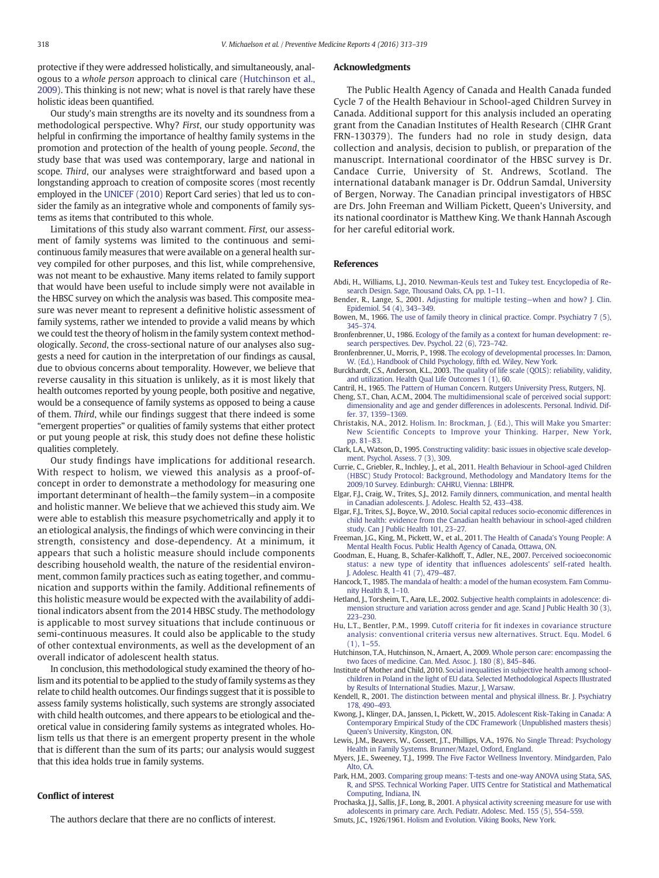<span id="page-5-0"></span>protective if they were addressed holistically, and simultaneously, analogous to a whole person approach to clinical care (Hutchinson et al., 2009). This thinking is not new; what is novel is that rarely have these holistic ideas been quantified.

Our study's main strengths are its novelty and its soundness from a methodological perspective. Why? First, our study opportunity was helpful in confirming the importance of healthy family systems in the promotion and protection of the health of young people. Second, the study base that was used was contemporary, large and national in scope. Third, our analyses were straightforward and based upon a longstanding approach to creation of composite scores (most recently employed in the [UNICEF \(2010\)](#page-6-0) Report Card series) that led us to consider the family as an integrative whole and components of family systems as items that contributed to this whole.

Limitations of this study also warrant comment. First, our assessment of family systems was limited to the continuous and semicontinuous family measures that were available on a general health survey compiled for other purposes, and this list, while comprehensive, was not meant to be exhaustive. Many items related to family support that would have been useful to include simply were not available in the HBSC survey on which the analysis was based. This composite measure was never meant to represent a definitive holistic assessment of family systems, rather we intended to provide a valid means by which we could test the theory of holism in the family system context methodologically. Second, the cross-sectional nature of our analyses also suggests a need for caution in the interpretation of our findings as causal, due to obvious concerns about temporality. However, we believe that reverse causality in this situation is unlikely, as it is most likely that health outcomes reported by young people, both positive and negative, would be a consequence of family systems as opposed to being a cause of them. Third, while our findings suggest that there indeed is some "emergent properties" or qualities of family systems that either protect or put young people at risk, this study does not define these holistic qualities completely.

Our study findings have implications for additional research. With respect to holism, we viewed this analysis as a proof-ofconcept in order to demonstrate a methodology for measuring one important determinant of health—the family system—in a composite and holistic manner. We believe that we achieved this study aim. We were able to establish this measure psychometrically and apply it to an etiological analysis, the findings of which were convincing in their strength, consistency and dose-dependency. At a minimum, it appears that such a holistic measure should include components describing household wealth, the nature of the residential environment, common family practices such as eating together, and communication and supports within the family. Additional refinements of this holistic measure would be expected with the availability of additional indicators absent from the 2014 HBSC study. The methodology is applicable to most survey situations that include continuous or semi-continuous measures. It could also be applicable to the study of other contextual environments, as well as the development of an overall indicator of adolescent health status.

In conclusion, this methodological study examined the theory of holism and its potential to be applied to the study of family systems as they relate to child health outcomes. Our findings suggest that it is possible to assess family systems holistically, such systems are strongly associated with child health outcomes, and there appears to be etiological and theoretical value in considering family systems as integrated wholes. Holism tells us that there is an emergent property present in the whole that is different than the sum of its parts; our analysis would suggest that this idea holds true in family systems.

# Conflict of interest

The authors declare that there are no conflicts of interest.

#### Acknowledgments

The Public Health Agency of Canada and Health Canada funded Cycle 7 of the Health Behaviour in School-aged Children Survey in Canada. Additional support for this analysis included an operating grant from the Canadian Institutes of Health Research (CIHR Grant FRN-130379). The funders had no role in study design, data collection and analysis, decision to publish, or preparation of the manuscript. International coordinator of the HBSC survey is Dr. Candace Currie, University of St. Andrews, Scotland. The international databank manager is Dr. Oddrun Samdal, University of Bergen, Norway. The Canadian principal investigators of HBSC are Drs. John Freeman and William Pickett, Queen's University, and its national coordinator is Matthew King. We thank Hannah Ascough for her careful editorial work.

## References

- Abdi, H., Williams, L.J., 2010. [Newman-Keuls test and Tukey test. Encyclopedia of Re](http://refhub.elsevier.com/S2211-3355(16)30076-6/rf0005)[search Design. Sage, Thousand Oaks, CA, pp. 1](http://refhub.elsevier.com/S2211-3355(16)30076-6/rf0005)–11.
- Bender, R., Lange, S., 2001. [Adjusting for multiple testing](http://refhub.elsevier.com/S2211-3355(16)30076-6/rf0010)—when and how? J. Clin. [Epidemiol. 54 \(4\), 343](http://refhub.elsevier.com/S2211-3355(16)30076-6/rf0010)–349.
- Bowen, M., 1966. [The use of family theory in clinical practice. Compr. Psychiatry 7 \(5\),](http://refhub.elsevier.com/S2211-3355(16)30076-6/rf9000) 345–[374.](http://refhub.elsevier.com/S2211-3355(16)30076-6/rf9000)
- Bronfenbrenner, U., 1986. [Ecology of the family as a context for human development: re](http://refhub.elsevier.com/S2211-3355(16)30076-6/rf0015)[search perspectives. Dev. Psychol. 22 \(6\), 723](http://refhub.elsevier.com/S2211-3355(16)30076-6/rf0015)–742.
- Bronfenbrenner, U., Morris, P., 1998. [The ecology of developmental processes. In: Damon,](http://refhub.elsevier.com/S2211-3355(16)30076-6/rf0020) [W. \(Ed.\), Handbook of Child Psychology,](http://refhub.elsevier.com/S2211-3355(16)30076-6/rf0020) fifth ed. Wiley, New York.
- Burckhardt, C.S., Anderson, K.L., 2003. [The quality of life scale \(QOLS\): reliability, validity,](http://refhub.elsevier.com/S2211-3355(16)30076-6/rf0025) [and utilization. Health Qual Life Outcomes 1 \(1\), 60.](http://refhub.elsevier.com/S2211-3355(16)30076-6/rf0025)
- Cantril, H., 1965. [The Pattern of Human Concern. Rutgers University Press, Rutgers, NJ.](http://refhub.elsevier.com/S2211-3355(16)30076-6/rf0030)
- Cheng, S.T., Chan, A.C.M., 2004. [The multidimensional scale of perceived social support:](http://refhub.elsevier.com/S2211-3355(16)30076-6/rf0035) [dimensionality and age and gender differences in adolescents. Personal. Individ. Dif](http://refhub.elsevier.com/S2211-3355(16)30076-6/rf0035)[fer. 37, 1359](http://refhub.elsevier.com/S2211-3355(16)30076-6/rf0035)–1369.
- Christakis, N.A., 2012. [Holism. In: Brockman, J. \(Ed.\), This will Make you Smarter:](http://refhub.elsevier.com/S2211-3355(16)30076-6/rf0040) New Scientifi[c Concepts to Improve your Thinking. Harper, New York,](http://refhub.elsevier.com/S2211-3355(16)30076-6/rf0040) [pp. 81](http://refhub.elsevier.com/S2211-3355(16)30076-6/rf0040)–83.
- Clark, L.A., Watson, D., 1995. [Constructing validity: basic issues in objective scale develop](http://refhub.elsevier.com/S2211-3355(16)30076-6/rf0045)[ment. Psychol. Assess. 7 \(3\), 309](http://refhub.elsevier.com/S2211-3355(16)30076-6/rf0045).
- Currie, C., Griebler, R., Inchley, J., et al., 2011. [Health Behaviour in School-aged Children](http://refhub.elsevier.com/S2211-3355(16)30076-6/rf0050) [\(HBSC\) Study Protocol: Background, Methodology and Mandatory Items for the](http://refhub.elsevier.com/S2211-3355(16)30076-6/rf0050) [2009/10 Survey. Edinburgh: CAHRU, Vienna: LBIHPR](http://refhub.elsevier.com/S2211-3355(16)30076-6/rf0050).
- Elgar, F.J., Craig, W., Trites, S.J., 2012. [Family dinners, communication, and mental health](http://refhub.elsevier.com/S2211-3355(16)30076-6/rf0055) [in Canadian adolescents. J. Adolesc. Health 52, 433](http://refhub.elsevier.com/S2211-3355(16)30076-6/rf0055)–438.
- Elgar, F.J., Trites, S.J., Boyce, W., 2010. [Social capital reduces socio-economic differences in](http://refhub.elsevier.com/S2211-3355(16)30076-6/rf0060) [child health: evidence from the Canadian health behaviour in school-aged children](http://refhub.elsevier.com/S2211-3355(16)30076-6/rf0060) [study. Can J Public Health 101, 23](http://refhub.elsevier.com/S2211-3355(16)30076-6/rf0060)–27.
- Freeman, J.G., King, M., Pickett, W., et al., 2011. [The Health of Canada's Young People: A](http://refhub.elsevier.com/S2211-3355(16)30076-6/rf0065) [Mental Health Focus. Public Health Agency of Canada, Ottawa, ON.](http://refhub.elsevier.com/S2211-3355(16)30076-6/rf0065)
- Goodman, E., Huang, B., Schafer-Kalkhoff, T., Adler, N.E., 2007. [Perceived socioeconomic](http://refhub.elsevier.com/S2211-3355(16)30076-6/rf0070) [status: a new type of identity that in](http://refhub.elsevier.com/S2211-3355(16)30076-6/rf0070)fluences adolescents' self-rated health. [J. Adolesc. Health 41 \(7\), 479](http://refhub.elsevier.com/S2211-3355(16)30076-6/rf0070)–487.
- Hancock, T., 1985. [The mandala of health: a model of the human ecosystem. Fam Commu](http://refhub.elsevier.com/S2211-3355(16)30076-6/rf0075)[nity Health 8, 1](http://refhub.elsevier.com/S2211-3355(16)30076-6/rf0075)–10.
- Hetland, J., Torsheim, T., Aarø, L.E., 2002. [Subjective health complaints in adolescence: di](http://refhub.elsevier.com/S2211-3355(16)30076-6/rf0080)[mension structure and variation across gender and age. Scand J Public Health 30 \(3\),](http://refhub.elsevier.com/S2211-3355(16)30076-6/rf0080) 223–[230.](http://refhub.elsevier.com/S2211-3355(16)30076-6/rf0080)
- Hu, L.T., Bentler, P.M., 1999. Cutoff criteria for fi[t indexes in covariance structure](http://refhub.elsevier.com/S2211-3355(16)30076-6/rf0085) [analysis: conventional criteria versus new alternatives. Struct. Equ. Model. 6](http://refhub.elsevier.com/S2211-3355(16)30076-6/rf0085)  $(1), 1-55$  $(1), 1-55$
- Hutchinson, T.A., Hutchinson, N., Arnaert, A., 2009. [Whole person care: encompassing the](http://refhub.elsevier.com/S2211-3355(16)30076-6/rf0090) [two faces of medicine. Can. Med. Assoc. J. 180 \(8\), 845](http://refhub.elsevier.com/S2211-3355(16)30076-6/rf0090)–846.
- Institute of Mother and Child, 2010. [Social inequalities in subjective health among school](http://refhub.elsevier.com/S2211-3355(16)30076-6/rf0095)[children in Poland in the light of EU data. Selected Methodological Aspects Illustrated](http://refhub.elsevier.com/S2211-3355(16)30076-6/rf0095) [by Results of International Studies. Mazur, J, Warsaw](http://refhub.elsevier.com/S2211-3355(16)30076-6/rf0095).
- Kendell, R., 2001. [The distinction between mental and physical illness. Br. J. Psychiatry](http://refhub.elsevier.com/S2211-3355(16)30076-6/rf0100) [178, 490](http://refhub.elsevier.com/S2211-3355(16)30076-6/rf0100)–493.
- Kwong, J., Klinger, D.A., Janssen, I., Pickett, W., 2015. [Adolescent Risk-Taking in Canada: A](http://refhub.elsevier.com/S2211-3355(16)30076-6/rf0105) [Contemporary Empirical Study of the CDC Framework \(Unpublished masters thesis\)](http://refhub.elsevier.com/S2211-3355(16)30076-6/rf0105) [Queen's University, Kingston, ON.](http://refhub.elsevier.com/S2211-3355(16)30076-6/rf0105)
- Lewis, J.M., Beavers, W., Gossett, J.T., Phillips, V.A., 1976. [No Single Thread: Psychology](http://refhub.elsevier.com/S2211-3355(16)30076-6/rf0110) [Health in Family Systems. Brunner/Mazel, Oxford, England](http://refhub.elsevier.com/S2211-3355(16)30076-6/rf0110).
- Myers, J.E., Sweeney, T.J., 1999. [The Five Factor Wellness Inventory. Mindgarden, Palo](http://refhub.elsevier.com/S2211-3355(16)30076-6/rf0115) [Alto, CA](http://refhub.elsevier.com/S2211-3355(16)30076-6/rf0115).
- Park, H.M., 2003. [Comparing group means: T-tests and one-way ANOVA using Stata, SAS,](http://refhub.elsevier.com/S2211-3355(16)30076-6/rf0120) [R, and SPSS. Technical Working Paper. UITS Centre for Statistical and Mathematical](http://refhub.elsevier.com/S2211-3355(16)30076-6/rf0120) [Computing, Indiana, IN](http://refhub.elsevier.com/S2211-3355(16)30076-6/rf0120).
- Prochaska, J.J., Sallis, J.F., Long, B., 2001. [A physical activity screening measure for use with](http://refhub.elsevier.com/S2211-3355(16)30076-6/rf0125) [adolescents in primary care. Arch. Pediatr. Adolesc. Med. 155 \(5\), 554](http://refhub.elsevier.com/S2211-3355(16)30076-6/rf0125)–559. Smuts, J.C., 1926/1961. [Holism and Evolution. Viking Books, New York](http://refhub.elsevier.com/S2211-3355(16)30076-6/rf0130).